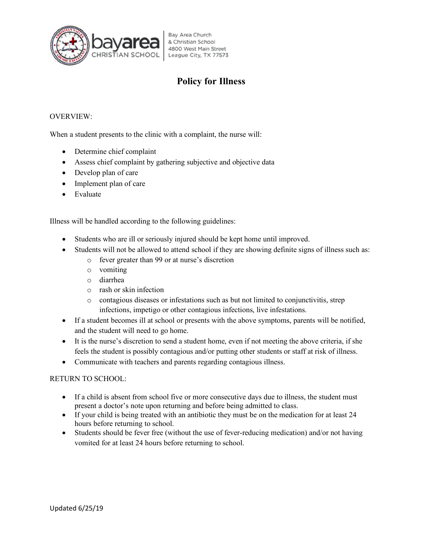

### **Policy for Illness**

### OVERVIEW:

When a student presents to the clinic with a complaint, the nurse will:

- Determine chief complaint
- Assess chief complaint by gathering subjective and objective data
- Develop plan of care
- Implement plan of care
- Evaluate

Illness will be handled according to the following guidelines:

- Students who are ill or seriously injured should be kept home until improved.
- Students will not be allowed to attend school if they are showing definite signs of illness such as:
	- o fever greater than 99 or at nurse's discretion
	- o vomiting
	- o diarrhea
	- o rash or skin infection
	- o contagious diseases or infestations such as but not limited to conjunctivitis, strep infections, impetigo or other contagious infections, live infestations.
- If a student becomes ill at school or presents with the above symptoms, parents will be notified, and the student will need to go home.
- It is the nurse's discretion to send a student home, even if not meeting the above criteria, if she feels the student is possibly contagious and/or putting other students or staff at risk of illness.
- Communicate with teachers and parents regarding contagious illness.

### RETURN TO SCHOOL:

- If a child is absent from school five or more consecutive days due to illness, the student must present a doctor's note upon returning and before being admitted to class.
- If your child is being treated with an antibiotic they must be on the medication for at least 24 hours before returning to school.
- Students should be fever free (without the use of fever-reducing medication) and/or not having vomited for at least 24 hours before returning to school.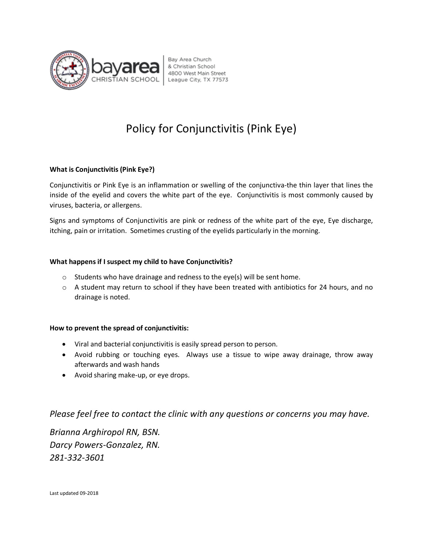

# Policy for Conjunctivitis (Pink Eye)

### **What is Conjunctivitis (Pink Eye?)**

Conjunctivitis or Pink Eye is an inflammation or swelling of the conjunctiva-the thin layer that lines the inside of the eyelid and covers the white part of the eye. Conjunctivitis is most commonly caused by viruses, bacteria, or allergens.

Signs and symptoms of Conjunctivitis are pink or redness of the white part of the eye, Eye discharge, itching, pain or irritation. Sometimes crusting of the eyelids particularly in the morning.

### **What happens if I suspect my child to have Conjunctivitis?**

- o Students who have drainage and redness to the eye(s) will be sent home.
- $\circ$  A student may return to school if they have been treated with antibiotics for 24 hours, and no drainage is noted.

#### **How to prevent the spread of conjunctivitis:**

- Viral and bacterial conjunctivitis is easily spread person to person.
- Avoid rubbing or touching eyes. Always use a tissue to wipe away drainage, throw away afterwards and wash hands
- Avoid sharing make-up, or eye drops.

### *Please feel free to contact the clinic with any questions or concerns you may have.*

*Brianna Arghiropol RN, BSN. Darcy Powers-Gonzalez, RN. 281-332-3601*

Last updated 09-2018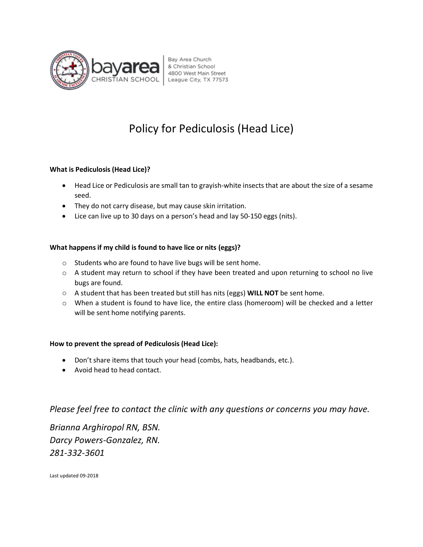

# Policy for Pediculosis (Head Lice)

### **What is Pediculosis (Head Lice)?**

- Head Lice or Pediculosis are small tan to grayish-white insects that are about the size of a sesame seed.
- They do not carry disease, but may cause skin irritation.
- Lice can live up to 30 days on a person's head and lay 50-150 eggs (nits).

### **What happens if my child is found to have lice or nits (eggs)?**

- o Students who are found to have live bugs will be sent home.
- o A student may return to school if they have been treated and upon returning to school no live bugs are found.
- o A student that has been treated but still has nits (eggs) **WILL NOT** be sent home.
- $\circ$  When a student is found to have lice, the entire class (homeroom) will be checked and a letter will be sent home notifying parents.

### **How to prevent the spread of Pediculosis (Head Lice):**

- Don't share items that touch your head (combs, hats, headbands, etc.).
- Avoid head to head contact.

*Please feel free to contact the clinic with any questions or concerns you may have.* 

*Brianna Arghiropol RN, BSN. Darcy Powers-Gonzalez, RN. 281-332-3601*

Last updated 09-2018